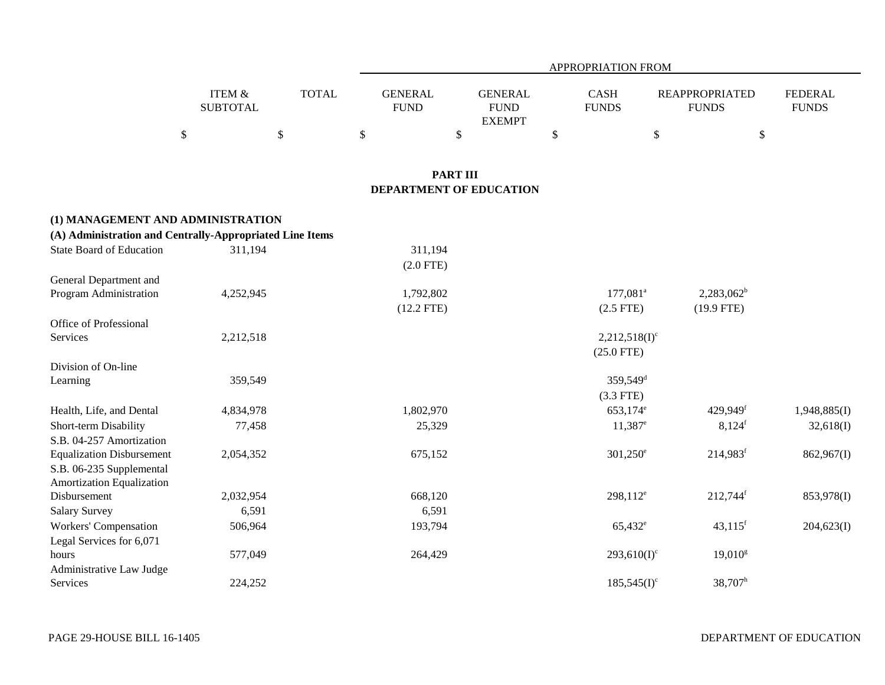|                                                                                               |                                      |              | APPROPRIATION FROM            |                                                |                             |                                       |                                |  |  |  |  |  |
|-----------------------------------------------------------------------------------------------|--------------------------------------|--------------|-------------------------------|------------------------------------------------|-----------------------------|---------------------------------------|--------------------------------|--|--|--|--|--|
|                                                                                               | <b>ITEM &amp;</b><br><b>SUBTOTAL</b> | <b>TOTAL</b> | <b>GENERAL</b><br><b>FUND</b> | <b>GENERAL</b><br><b>FUND</b><br><b>EXEMPT</b> | <b>CASH</b><br><b>FUNDS</b> | <b>REAPPROPRIATED</b><br><b>FUNDS</b> | <b>FEDERAL</b><br><b>FUNDS</b> |  |  |  |  |  |
|                                                                                               | $\mathbb{S}$                         | $\$\,$       | $\$$                          | $\$$                                           | \$                          | $\$$                                  | $\mathbb{S}$                   |  |  |  |  |  |
|                                                                                               |                                      |              |                               | <b>PART III</b>                                |                             |                                       |                                |  |  |  |  |  |
|                                                                                               |                                      |              |                               | DEPARTMENT OF EDUCATION                        |                             |                                       |                                |  |  |  |  |  |
| (1) MANAGEMENT AND ADMINISTRATION<br>(A) Administration and Centrally-Appropriated Line Items |                                      |              |                               |                                                |                             |                                       |                                |  |  |  |  |  |
| <b>State Board of Education</b>                                                               | 311,194                              |              | 311,194                       |                                                |                             |                                       |                                |  |  |  |  |  |
|                                                                                               |                                      |              | $(2.0$ FTE)                   |                                                |                             |                                       |                                |  |  |  |  |  |
| General Department and                                                                        |                                      |              |                               |                                                |                             |                                       |                                |  |  |  |  |  |
| Program Administration                                                                        | 4,252,945                            |              | 1,792,802                     |                                                | $177,081^a$                 | $2,283,062^b$                         |                                |  |  |  |  |  |
|                                                                                               |                                      |              | $(12.2$ FTE)                  |                                                | $(2.5$ FTE)                 | $(19.9$ FTE)                          |                                |  |  |  |  |  |
| Office of Professional                                                                        |                                      |              |                               |                                                |                             |                                       |                                |  |  |  |  |  |
| Services                                                                                      | 2,212,518                            |              |                               |                                                | $2,212,518(1)$ <sup>c</sup> |                                       |                                |  |  |  |  |  |
|                                                                                               |                                      |              |                               |                                                | $(25.0$ FTE)                |                                       |                                |  |  |  |  |  |
| Division of On-line                                                                           |                                      |              |                               |                                                |                             |                                       |                                |  |  |  |  |  |
| Learning                                                                                      | 359,549                              |              |                               |                                                | $359,549$ <sup>d</sup>      |                                       |                                |  |  |  |  |  |
|                                                                                               |                                      |              |                               |                                                | $(3.3$ FTE)                 |                                       |                                |  |  |  |  |  |
| Health, Life, and Dental                                                                      | 4,834,978                            |              | 1,802,970                     |                                                | 653,174 <sup>e</sup>        | 429,949f                              | 1,948,885(I)                   |  |  |  |  |  |
| Short-term Disability                                                                         | 77,458                               |              | 25,329                        |                                                | $11,387$ <sup>e</sup>       | 8,124 <sup>f</sup>                    | 32,618(I)                      |  |  |  |  |  |
| S.B. 04-257 Amortization                                                                      |                                      |              |                               |                                                |                             |                                       |                                |  |  |  |  |  |
| <b>Equalization Disbursement</b>                                                              | 2,054,352                            |              | 675,152                       |                                                | $301,250^{\circ}$           | $214,983$ <sup>f</sup>                | 862,967(I)                     |  |  |  |  |  |
| S.B. 06-235 Supplemental                                                                      |                                      |              |                               |                                                |                             |                                       |                                |  |  |  |  |  |
| Amortization Equalization                                                                     |                                      |              |                               |                                                |                             |                                       |                                |  |  |  |  |  |
| Disbursement                                                                                  | 2,032,954                            |              | 668,120                       |                                                | $298,112^e$                 | 212,744f                              | 853,978(I)                     |  |  |  |  |  |
| <b>Salary Survey</b>                                                                          | 6,591                                |              | 6,591                         |                                                |                             |                                       |                                |  |  |  |  |  |
| <b>Workers' Compensation</b>                                                                  | 506,964                              |              | 193,794                       |                                                | $65,432^e$                  | $43,115$ <sup>f</sup>                 | 204,623(I)                     |  |  |  |  |  |
| Legal Services for 6,071                                                                      |                                      |              |                               |                                                |                             |                                       |                                |  |  |  |  |  |
| hours                                                                                         | 577,049                              |              | 264,429                       |                                                | $293,610(I)^c$              | $19,010^{\rm g}$                      |                                |  |  |  |  |  |
| Administrative Law Judge                                                                      |                                      |              |                               |                                                |                             |                                       |                                |  |  |  |  |  |
| Services                                                                                      | 224,252                              |              |                               |                                                | $185,545(I)^c$              | $38,707^h$                            |                                |  |  |  |  |  |

e de la provincia de la provincia de la provincia de la provincia de la provincia de la provincia de la provincia de la provincia de la provincia de la provincia de la provincia de la provincia de la provincia de la provin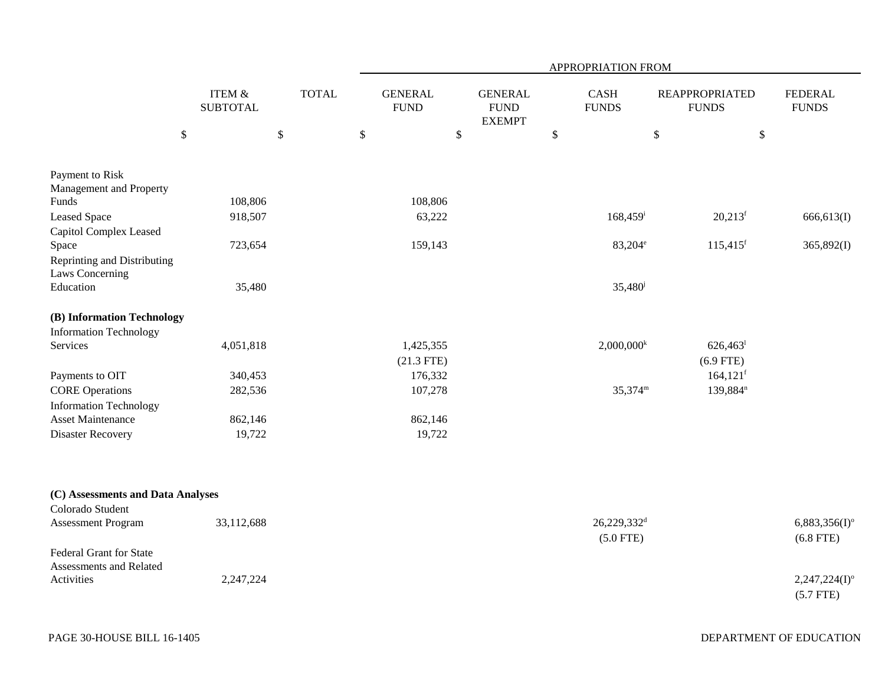|                                                                                                                                                                                                               |                                                      |              | APPROPRIATION FROM                                                   |                                                |                                                             |                                                                                        |                                                                                          |  |  |  |  |
|---------------------------------------------------------------------------------------------------------------------------------------------------------------------------------------------------------------|------------------------------------------------------|--------------|----------------------------------------------------------------------|------------------------------------------------|-------------------------------------------------------------|----------------------------------------------------------------------------------------|------------------------------------------------------------------------------------------|--|--|--|--|
|                                                                                                                                                                                                               | ITEM &<br><b>SUBTOTAL</b>                            | <b>TOTAL</b> | <b>GENERAL</b><br><b>FUND</b>                                        | <b>GENERAL</b><br><b>FUND</b><br><b>EXEMPT</b> | <b>CASH</b><br><b>FUNDS</b>                                 | <b>REAPPROPRIATED</b><br><b>FUNDS</b>                                                  | <b>FEDERAL</b><br><b>FUNDS</b>                                                           |  |  |  |  |
| \$                                                                                                                                                                                                            |                                                      | $\$$         | $\mathbb{S}$                                                         | \$                                             | $\$$                                                        | $\mathbb{S}$<br>\$                                                                     |                                                                                          |  |  |  |  |
| Payment to Risk<br>Management and Property<br>Funds<br><b>Leased Space</b><br>Capitol Complex Leased<br>Space<br>Reprinting and Distributing<br>Laws Concerning<br>Education                                  | 108,806<br>918,507<br>723,654<br>35,480              |              | 108,806<br>63,222<br>159,143                                         |                                                | $168,459$ <sup>i</sup><br>$83,204^e$<br>35,480 <sup>j</sup> | $20,213$ <sup>f</sup><br>$115,415$ <sup>f</sup>                                        | 666,613(I)<br>365,892(I)                                                                 |  |  |  |  |
| (B) Information Technology<br><b>Information Technology</b><br>Services<br>Payments to OIT<br><b>CORE Operations</b><br><b>Information Technology</b><br><b>Asset Maintenance</b><br><b>Disaster Recovery</b> | 4,051,818<br>340,453<br>282,536<br>862,146<br>19,722 |              | 1,425,355<br>$(21.3$ FTE)<br>176,332<br>107,278<br>862,146<br>19,722 |                                                | $2,000,000^k$<br>35,374m                                    | $626,463$ <sup>1</sup><br>$(6.9$ FTE)<br>164, 121 <sup>f</sup><br>139,884 <sup>n</sup> |                                                                                          |  |  |  |  |
| (C) Assessments and Data Analyses<br>Colorado Student<br>Assessment Program<br>Federal Grant for State<br>Assessments and Related<br>Activities                                                               | 33,112,688<br>2,247,224                              |              |                                                                      |                                                | 26,229,332 <sup>d</sup><br>$(5.0$ FTE)                      |                                                                                        | $6,883,356(1)$ <sup>o</sup><br>$(6.8$ FTE)<br>$2,247,224(I)$ <sup>o</sup><br>$(5.7$ FTE) |  |  |  |  |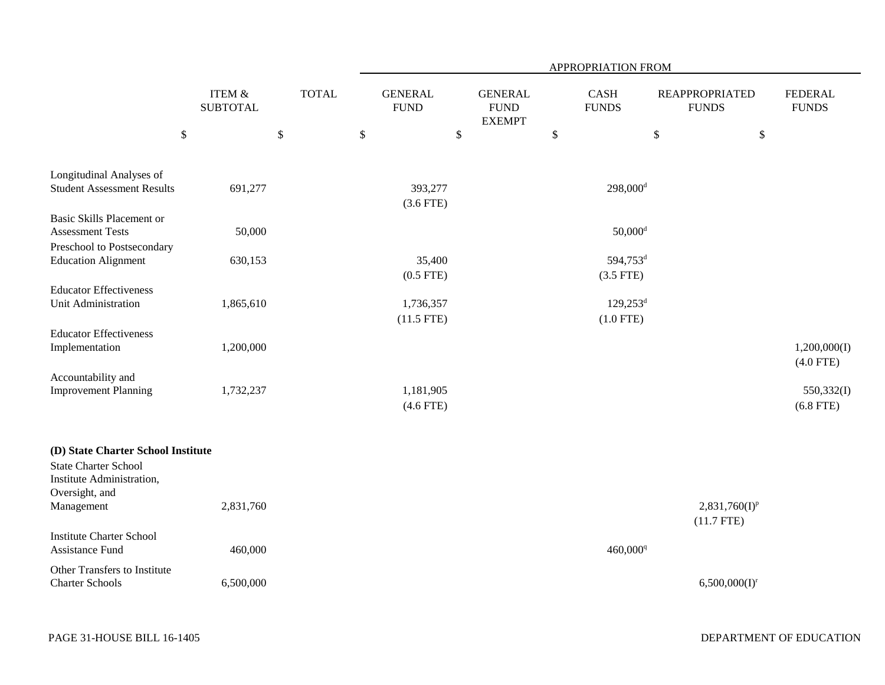|                                                                                                |                           |              | APPROPRIATION FROM            |                                                |                                       |                                       |                                |  |  |  |  |
|------------------------------------------------------------------------------------------------|---------------------------|--------------|-------------------------------|------------------------------------------------|---------------------------------------|---------------------------------------|--------------------------------|--|--|--|--|
|                                                                                                | ITEM &<br><b>SUBTOTAL</b> | <b>TOTAL</b> | <b>GENERAL</b><br><b>FUND</b> | <b>GENERAL</b><br><b>FUND</b><br><b>EXEMPT</b> | <b>CASH</b><br><b>FUNDS</b>           | <b>REAPPROPRIATED</b><br><b>FUNDS</b> | <b>FEDERAL</b><br><b>FUNDS</b> |  |  |  |  |
| $\$\,$                                                                                         |                           | $\mathbb{S}$ | $\mathbb{S}$                  | \$                                             | $\$$                                  | \$<br>$\$$                            |                                |  |  |  |  |
| Longitudinal Analyses of<br><b>Student Assessment Results</b>                                  |                           |              |                               |                                                | $298,000$ <sup>d</sup>                |                                       |                                |  |  |  |  |
|                                                                                                | 691,277                   |              | 393,277<br>$(3.6$ FTE)        |                                                |                                       |                                       |                                |  |  |  |  |
| <b>Basic Skills Placement or</b><br><b>Assessment Tests</b>                                    | 50,000                    |              |                               |                                                | $50,000$ <sup>d</sup>                 |                                       |                                |  |  |  |  |
| Preschool to Postsecondary<br><b>Education Alignment</b>                                       | 630,153                   |              | 35,400<br>$(0.5$ FTE)         |                                                | 594,753 <sup>d</sup><br>$(3.5$ FTE)   |                                       |                                |  |  |  |  |
| <b>Educator Effectiveness</b><br>Unit Administration                                           | 1,865,610                 |              | 1,736,357<br>$(11.5$ FTE)     |                                                | $129,253$ <sup>d</sup><br>$(1.0$ FTE) |                                       |                                |  |  |  |  |
| <b>Educator Effectiveness</b><br>Implementation                                                | 1,200,000                 |              |                               |                                                |                                       |                                       | 1,200,000(I)<br>$(4.0$ FTE)    |  |  |  |  |
| Accountability and<br><b>Improvement Planning</b>                                              | 1,732,237                 |              | 1,181,905<br>$(4.6$ FTE)      |                                                |                                       |                                       | 550,332(I)<br>$(6.8$ FTE)      |  |  |  |  |
| (D) State Charter School Institute<br><b>State Charter School</b><br>Institute Administration, |                           |              |                               |                                                |                                       |                                       |                                |  |  |  |  |
| Oversight, and<br>Management                                                                   | 2,831,760                 |              |                               |                                                |                                       | $2,831,760(I)^p$<br>$(11.7$ FTE)      |                                |  |  |  |  |
| <b>Institute Charter School</b><br>Assistance Fund                                             | 460,000                   |              |                               |                                                | 460,000 <sup>q</sup>                  |                                       |                                |  |  |  |  |
| Other Transfers to Institute<br><b>Charter Schools</b>                                         | 6,500,000                 |              |                               |                                                |                                       | $6,500,000(I)^r$                      |                                |  |  |  |  |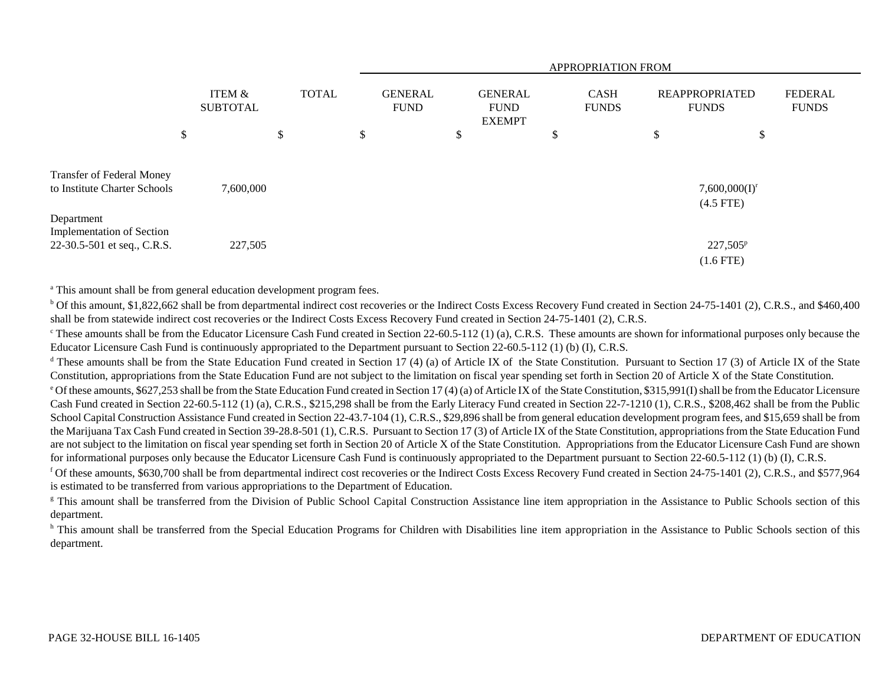|                                                                               |    |                                      |              |    | <b>APPROPRIATION FROM</b>     |    |  |                                                |  |                             |                                       |  |                                |  |
|-------------------------------------------------------------------------------|----|--------------------------------------|--------------|----|-------------------------------|----|--|------------------------------------------------|--|-----------------------------|---------------------------------------|--|--------------------------------|--|
|                                                                               |    | <b>ITEM &amp;</b><br><b>SUBTOTAL</b> | <b>TOTAL</b> |    | <b>GENERAL</b><br><b>FUND</b> |    |  | <b>GENERAL</b><br><b>FUND</b><br><b>EXEMPT</b> |  | <b>CASH</b><br><b>FUNDS</b> | <b>REAPPROPRIATED</b><br><b>FUNDS</b> |  | <b>FEDERAL</b><br><b>FUNDS</b> |  |
|                                                                               | \$ |                                      | \$           | \$ |                               | \$ |  | \$                                             |  | \$                          | \$                                    |  |                                |  |
| Transfer of Federal Money<br>to Institute Charter Schools                     |    | 7,600,000                            |              |    |                               |    |  |                                                |  |                             | $7,600,000(I)^r$<br>$(4.5$ FTE)       |  |                                |  |
| Department<br><b>Implementation of Section</b><br>22-30.5-501 et seq., C.R.S. |    | 227,505                              |              |    |                               |    |  |                                                |  |                             | $227,505^p$<br>$(1.6$ FTE)            |  |                                |  |

<sup>a</sup> This amount shall be from general education development program fees.

<sup>b</sup> Of this amount, \$1,822,662 shall be from departmental indirect cost recoveries or the Indirect Costs Excess Recovery Fund created in Section 24-75-1401 (2), C.R.S., and \$460,400 shall be from statewide indirect cost recoveries or the Indirect Costs Excess Recovery Fund created in Section 24-75-1401 (2), C.R.S.

 $\degree$ These amounts shall be from the Educator Licensure Cash Fund created in Section 22-60.5-112 (1) (a), C.R.S. These amounts are shown for informational purposes only because the Educator Licensure Cash Fund is continuously appropriated to the Department pursuant to Section 22-60.5-112 (1) (b) (I), C.R.S.

<sup>d</sup> These amounts shall be from the State Education Fund created in Section 17 (4) (a) of Article IX of the State Constitution. Pursuant to Section 17 (3) of Article IX of the State Constitution, appropriations from the State Education Fund are not subject to the limitation on fiscal year spending set forth in Section 20 of Article X of the State Constitution.

e Of these amounts, \$627,253 shall be from the State Education Fund created in Section 17 (4) (a) of Article IX of the State Constitution, \$315,991(I) shall be from the Educator Licensure Cash Fund created in Section 22-60.5-112 (1) (a), C.R.S., \$215,298 shall be from the Early Literacy Fund created in Section 22-7-1210 (1), C.R.S., \$208,462 shall be from the Public School Capital Construction Assistance Fund created in Section 22-43.7-104 (1), C.R.S., \$29,896 shall be from general education development program fees, and \$15,659 shall be from the Marijuana Tax Cash Fund created in Section 39-28.8-501 (1), C.R.S. Pursuant to Section 17 (3) of Article IX of the State Constitution, appropriations from the State Education Fund are not subject to the limitation on fiscal year spending set forth in Section 20 of Article X of the State Constitution. Appropriations from the Educator Licensure Cash Fund are shown for informational purposes only because the Educator Licensure Cash Fund is continuously appropriated to the Department pursuant to Section 22-60.5-112 (1) (b) (I), C.R.S.

f Of these amounts, \$630,700 shall be from departmental indirect cost recoveries or the Indirect Costs Excess Recovery Fund created in Section 24-75-1401 (2), C.R.S., and \$577,964 is estimated to be transferred from various appropriations to the Department of Education.

<sup>g</sup> This amount shall be transferred from the Division of Public School Capital Construction Assistance line item appropriation in the Assistance to Public Schools section of this department.

<sup>h</sup> This amount shall be transferred from the Special Education Programs for Children with Disabilities line item appropriation in the Assistance to Public Schools section of this department.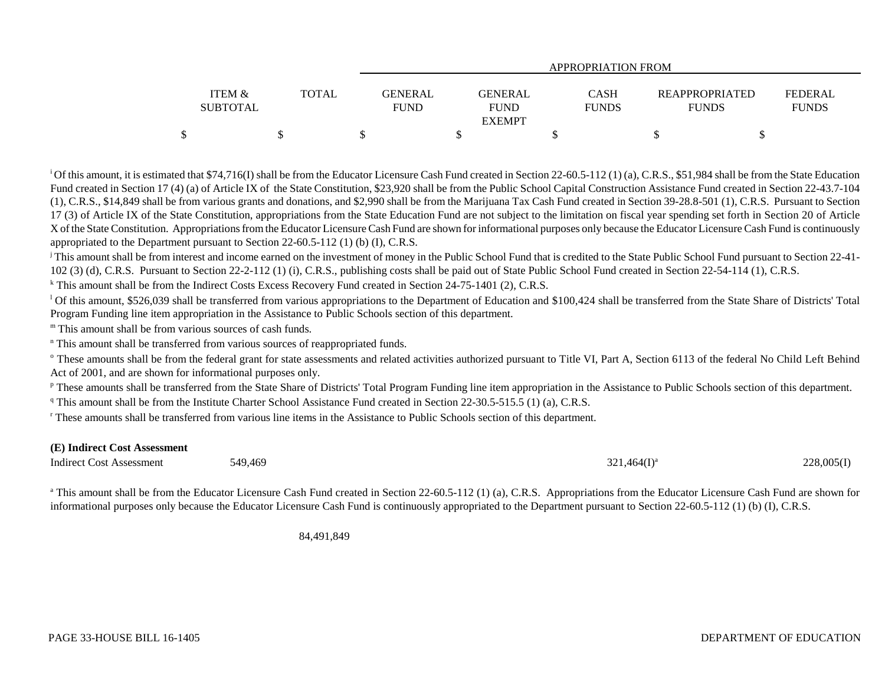|                   |              | APPROPRIATION FROM |                |              |  |                       |                |  |  |  |  |  |
|-------------------|--------------|--------------------|----------------|--------------|--|-----------------------|----------------|--|--|--|--|--|
|                   |              |                    |                |              |  |                       |                |  |  |  |  |  |
| <b>ITEM &amp;</b> | <b>TOTAL</b> | GENERAL            | <b>GENERAL</b> | CASH         |  | <b>REAPPROPRIATED</b> | <b>FEDERAL</b> |  |  |  |  |  |
| <b>SUBTOTAL</b>   |              | FUND               | <b>FUND</b>    | <b>FUNDS</b> |  | <b>FUNDS</b>          | <b>FUNDS</b>   |  |  |  |  |  |
|                   |              |                    | <b>EXEMPT</b>  |              |  |                       |                |  |  |  |  |  |
|                   |              |                    |                |              |  |                       |                |  |  |  |  |  |

<sup>1</sup>Of this amount, it is estimated that \$74,716(I) shall be from the Educator Licensure Cash Fund created in Section 22-60.5-112 (1) (a), C.R.S., \$51,984 shall be from the State Education Fund created in Section 17 (4) (a) of Article IX of the State Constitution, \$23,920 shall be from the Public School Capital Construction Assistance Fund created in Section 22-43.7-104 (1), C.R.S., \$14,849 shall be from various grants and donations, and \$2,990 shall be from the Marijuana Tax Cash Fund created in Section 39-28.8-501 (1), C.R.S. Pursuant to Section 17 (3) of Article IX of the State Constitution, appropriations from the State Education Fund are not subject to the limitation on fiscal year spending set forth in Section 20 of Article X of the State Constitution. Appropriations from the Educator Licensure Cash Fund are shown for informational purposes only because the Educator Licensure Cash Fund is continuously appropriated to the Department pursuant to Section 22-60.5-112 (1) (b) (I), C.R.S.

<sup>j</sup> This amount shall be from interest and income earned on the investment of money in the Public School Fund that is credited to the State Public School Fund pursuant to Section 22-41-102 (3) (d), C.R.S. Pursuant to Section 22-2-112 (1) (i), C.R.S., publishing costs shall be paid out of State Public School Fund created in Section 22-54-114 (1), C.R.S.

<sup>k</sup> This amount shall be from the Indirect Costs Excess Recovery Fund created in Section 24-75-1401 (2), C.R.S.

<sup>1</sup> Of this amount, \$526,039 shall be transferred from various appropriations to the Department of Education and \$100,424 shall be transferred from the State Share of Districts' Total Program Funding line item appropriation in the Assistance to Public Schools section of this department.

m This amount shall be from various sources of cash funds.

<sup>n</sup> This amount shall be transferred from various sources of reappropriated funds.

<sup>o</sup> These amounts shall be from the federal grant for state assessments and related activities authorized pursuant to Title VI, Part A, Section 6113 of the federal No Child Left Behind Act of 2001, and are shown for informational purposes only.

<sup>p</sup> These amounts shall be transferred from the State Share of Districts' Total Program Funding line item appropriation in the Assistance to Public Schools section of this department.

<sup>q</sup> This amount shall be from the Institute Charter School Assistance Fund created in Section 22-30.5-515.5 (1) (a), C.R.S.

r These amounts shall be transferred from various line items in the Assistance to Public Schools section of this department.

## **(E) Indirect Cost Assessment**

 $\mu$  Indirect Cost Assessment  $549.469$   $321.464(I)^a$   $321.464(I)^a$   $228.005(I)$ 

<sup>a</sup> This amount shall be from the Educator Licensure Cash Fund created in Section 22-60.5-112 (1) (a), C.R.S. Appropriations from the Educator Licensure Cash Fund are shown for informational purposes only because the Educator Licensure Cash Fund is continuously appropriated to the Department pursuant to Section 22-60.5-112 (1) (b) (I), C.R.S.

84,491,849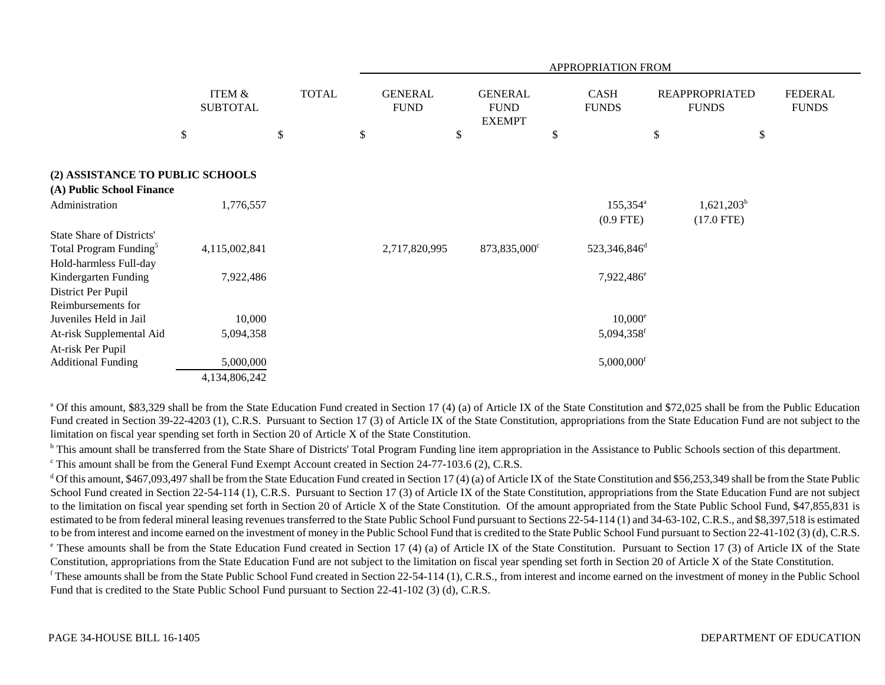|                                                                                           |                                      |              | APPROPRIATION FROM |                               |    |                                                |    |                                  |    |                                       |                                |
|-------------------------------------------------------------------------------------------|--------------------------------------|--------------|--------------------|-------------------------------|----|------------------------------------------------|----|----------------------------------|----|---------------------------------------|--------------------------------|
|                                                                                           | <b>ITEM &amp;</b><br><b>SUBTOTAL</b> | <b>TOTAL</b> |                    | <b>GENERAL</b><br><b>FUND</b> |    | <b>GENERAL</b><br><b>FUND</b><br><b>EXEMPT</b> |    | CASH<br><b>FUNDS</b>             |    | <b>REAPPROPRIATED</b><br><b>FUNDS</b> | <b>FEDERAL</b><br><b>FUNDS</b> |
|                                                                                           | $\$$                                 | \$           | \$                 |                               | \$ |                                                | \$ |                                  | \$ | \$                                    |                                |
| (2) ASSISTANCE TO PUBLIC SCHOOLS<br>(A) Public School Finance                             |                                      |              |                    |                               |    |                                                |    |                                  |    |                                       |                                |
| Administration                                                                            | 1,776,557                            |              |                    |                               |    |                                                |    | $155,354^{\circ}$<br>$(0.9$ FTE) |    | $1,621,203^b$<br>$(17.0$ FTE)         |                                |
| State Share of Districts'<br>Total Program Funding <sup>5</sup><br>Hold-harmless Full-day | 4,115,002,841                        |              |                    | 2,717,820,995                 |    | 873,835,000°                                   |    | 523,346,846 <sup>d</sup>         |    |                                       |                                |
| Kindergarten Funding<br>District Per Pupil<br>Reimbursements for                          | 7,922,486                            |              |                    |                               |    |                                                |    | 7,922,486 <sup>e</sup>           |    |                                       |                                |
| Juveniles Held in Jail                                                                    | 10,000                               |              |                    |                               |    |                                                |    | $10,000^{\circ}$                 |    |                                       |                                |
| At-risk Supplemental Aid<br>At-risk Per Pupil                                             | 5,094,358                            |              |                    |                               |    |                                                |    | 5,094,358f                       |    |                                       |                                |
| <b>Additional Funding</b>                                                                 | 5,000,000<br>4,134,806,242           |              |                    |                               |    |                                                |    | $5,000,000$ <sup>f</sup>         |    |                                       |                                |

<sup>a</sup> Of this amount, \$83,329 shall be from the State Education Fund created in Section 17 (4) (a) of Article IX of the State Constitution and \$72,025 shall be from the Public Education Fund created in Section 39-22-4203 (1), C.R.S. Pursuant to Section 17 (3) of Article IX of the State Constitution, appropriations from the State Education Fund are not subject to the limitation on fiscal year spending set forth in Section 20 of Article X of the State Constitution.

<sup>b</sup> This amount shall be transferred from the State Share of Districts' Total Program Funding line item appropriation in the Assistance to Public Schools section of this department.

<sup>c</sup> This amount shall be from the General Fund Exempt Account created in Section 24-77-103.6 (2), C.R.S.

 $d$  Of this amount, \$467,093,497 shall be from the State Education Fund created in Section 17 (4) (a) of Article IX of the State Constitution and \$56,253,349 shall be from the State Public School Fund created in Section 22-54-114 (1), C.R.S. Pursuant to Section 17 (3) of Article IX of the State Constitution, appropriations from the State Education Fund are not subject to the limitation on fiscal year spending set forth in Section 20 of Article X of the State Constitution. Of the amount appropriated from the State Public School Fund, \$47,855,831 is estimated to be from federal mineral leasing revenues transferred to the State Public School Fund pursuant to Sections 22-54-114 (1) and 34-63-102, C.R.S., and \$8,397,518 is estimated to be from interest and income earned on the investment of money in the Public School Fund that is credited to the State Public School Fund pursuant to Section 22-41-102 (3) (d), C.R.S. <sup>e</sup> These amounts shall be from the State Education Fund created in Section 17 (4) (a) of Article IX of the State Constitution. Pursuant to Section 17 (3) of Article IX of the State Constitution, appropriations from the State Education Fund are not subject to the limitation on fiscal year spending set forth in Section 20 of Article X of the State Constitution.  $f$  These amounts shall be from the State Public School Fund created in Section 22-54-114 (1), C.R.S., from interest and income earned on the investment of money in the Public School Fund that is credited to the State Public School Fund pursuant to Section 22-41-102 (3) (d), C.R.S.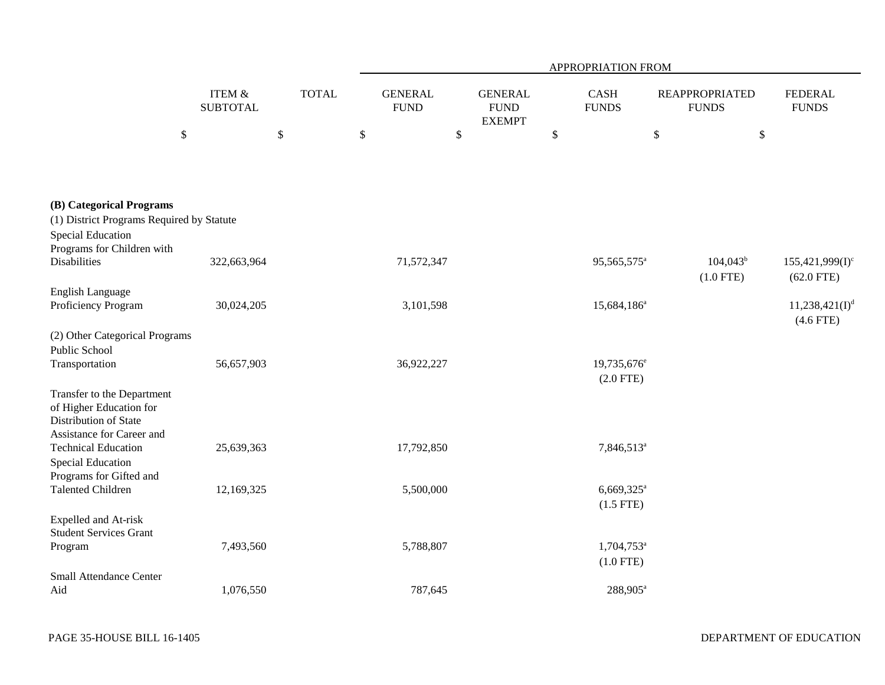|                                                                                                             |                                      |              | APPROPRIATION FROM            |                                                |                                         |                                       |                                    |  |  |  |  |
|-------------------------------------------------------------------------------------------------------------|--------------------------------------|--------------|-------------------------------|------------------------------------------------|-----------------------------------------|---------------------------------------|------------------------------------|--|--|--|--|
|                                                                                                             | <b>ITEM &amp;</b><br><b>SUBTOTAL</b> | <b>TOTAL</b> | <b>GENERAL</b><br><b>FUND</b> | <b>GENERAL</b><br><b>FUND</b><br><b>EXEMPT</b> | CASH<br><b>FUNDS</b>                    | <b>REAPPROPRIATED</b><br><b>FUNDS</b> | <b>FEDERAL</b><br><b>FUNDS</b>     |  |  |  |  |
|                                                                                                             | $\mathbb{S}$                         | $\$$         | \$<br>$\$$                    |                                                | $\$$                                    | $\mathbb{S}$<br>$\$$                  |                                    |  |  |  |  |
|                                                                                                             |                                      |              |                               |                                                |                                         |                                       |                                    |  |  |  |  |
| (B) Categorical Programs<br>(1) District Programs Required by Statute<br><b>Special Education</b>           |                                      |              |                               |                                                |                                         |                                       |                                    |  |  |  |  |
| Programs for Children with<br><b>Disabilities</b>                                                           | 322,663,964                          |              | 71,572,347                    |                                                | 95,565,575 <sup>a</sup>                 | $104,043^b$<br>$(1.0$ FTE)            | $155,421,999(I)^c$<br>$(62.0$ FTE) |  |  |  |  |
| <b>English Language</b><br>Proficiency Program                                                              | 30,024,205                           |              | 3,101,598                     |                                                | $15,684,186^a$                          |                                       | $11,238,421(I)^d$<br>$(4.6$ FTE)   |  |  |  |  |
| (2) Other Categorical Programs<br>Public School<br>Transportation                                           | 56,657,903                           |              | 36,922,227                    |                                                | 19,735,676 <sup>e</sup><br>$(2.0$ FTE)  |                                       |                                    |  |  |  |  |
| Transfer to the Department<br>of Higher Education for<br>Distribution of State<br>Assistance for Career and |                                      |              |                               |                                                |                                         |                                       |                                    |  |  |  |  |
| <b>Technical Education</b><br>Special Education<br>Programs for Gifted and                                  | 25,639,363                           |              | 17,792,850                    |                                                | 7,846,513 <sup>a</sup>                  |                                       |                                    |  |  |  |  |
| <b>Talented Children</b>                                                                                    | 12,169,325                           |              | 5,500,000                     |                                                | $6,669,325$ <sup>a</sup><br>$(1.5$ FTE) |                                       |                                    |  |  |  |  |
| Expelled and At-risk<br><b>Student Services Grant</b>                                                       |                                      |              |                               |                                                |                                         |                                       |                                    |  |  |  |  |
| Program                                                                                                     | 7,493,560                            |              | 5,788,807                     |                                                | $1,704,753$ <sup>a</sup><br>$(1.0$ FTE) |                                       |                                    |  |  |  |  |
| <b>Small Attendance Center</b><br>Aid                                                                       | 1,076,550                            |              | 787,645                       |                                                | 288,905 <sup>a</sup>                    |                                       |                                    |  |  |  |  |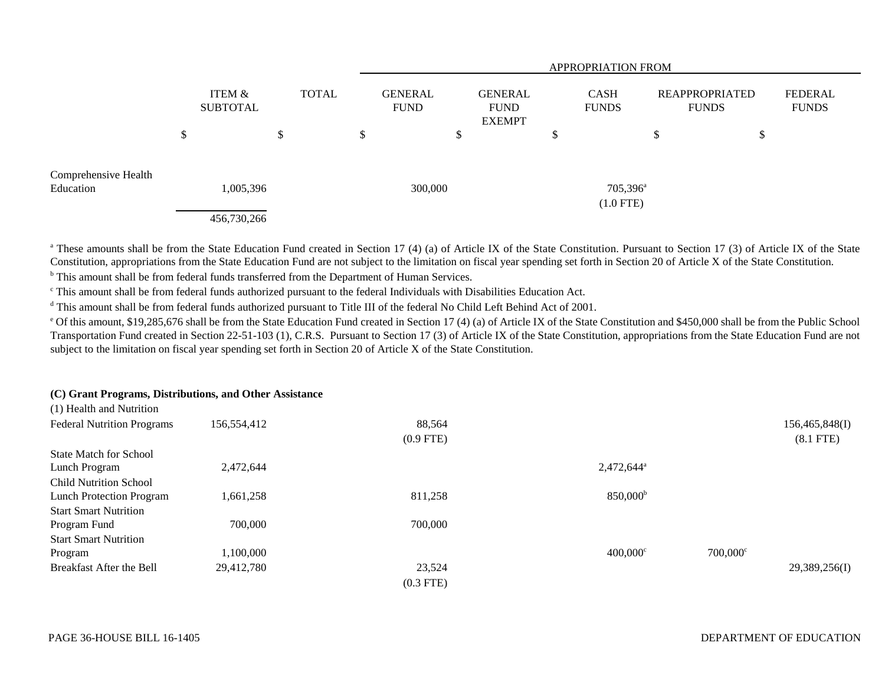|                                   |                          |              |                               | <b>APPROPRIATION FROM</b> |                                                |        |                                  |                                |                                |  |  |  |  |
|-----------------------------------|--------------------------|--------------|-------------------------------|---------------------------|------------------------------------------------|--------|----------------------------------|--------------------------------|--------------------------------|--|--|--|--|
|                                   | ITEM &<br>SUBTOTAL       | <b>TOTAL</b> | <b>GENERAL</b><br><b>FUND</b> |                           | <b>GENERAL</b><br><b>FUND</b><br><b>EXEMPT</b> |        | <b>CASH</b><br><b>FUNDS</b>      | REAPPROPRIATED<br><b>FUNDS</b> | <b>FEDERAL</b><br><b>FUNDS</b> |  |  |  |  |
|                                   | \$                       | \$           | ۰D                            |                           | Φ<br>J                                         | Φ<br>Φ |                                  | \$                             | \$                             |  |  |  |  |
| Comprehensive Health<br>Education | 1,005,396<br>456,730,266 |              |                               | 300,000                   |                                                |        | $705,396^{\circ}$<br>$(1.0$ FTE) |                                |                                |  |  |  |  |

<sup>a</sup> These amounts shall be from the State Education Fund created in Section 17 (4) (a) of Article IX of the State Constitution. Pursuant to Section 17 (3) of Article IX of the State Constitution, appropriations from the State Education Fund are not subject to the limitation on fiscal year spending set forth in Section 20 of Article X of the State Constitution.

b This amount shall be from federal funds transferred from the Department of Human Services.

c This amount shall be from federal funds authorized pursuant to the federal Individuals with Disabilities Education Act.

<sup>d</sup> This amount shall be from federal funds authorized pursuant to Title III of the federal No Child Left Behind Act of 2001.

<sup>e</sup> Of this amount, \$19,285,676 shall be from the State Education Fund created in Section 17 (4) (a) of Article IX of the State Constitution and \$450,000 shall be from the Public School Transportation Fund created in Section 22-51-103 (1), C.R.S. Pursuant to Section 17 (3) of Article IX of the State Constitution, appropriations from the State Education Fund are not subject to the limitation on fiscal year spending set forth in Section 20 of Article X of the State Constitution.

## **(C) Grant Programs, Distributions, and Other Assistance**  $(1)$  Health and  $N$  and  $N$

| (1) Health and Nutrition          |             |             |                        |                   |                |
|-----------------------------------|-------------|-------------|------------------------|-------------------|----------------|
| <b>Federal Nutrition Programs</b> | 156,554,412 | 88,564      |                        |                   | 156,465,848(I) |
|                                   |             | $(0.9$ FTE) |                        |                   | $(8.1$ FTE)    |
| <b>State Match for School</b>     |             |             |                        |                   |                |
| Lunch Program                     | 2,472,644   |             | 2,472,644 <sup>a</sup> |                   |                |
| <b>Child Nutrition School</b>     |             |             |                        |                   |                |
| <b>Lunch Protection Program</b>   | 1,661,258   | 811,258     | 850,000 <sup>b</sup>   |                   |                |
| <b>Start Smart Nutrition</b>      |             |             |                        |                   |                |
| Program Fund                      | 700,000     | 700,000     |                        |                   |                |
| <b>Start Smart Nutrition</b>      |             |             |                        |                   |                |
| Program                           | 1,100,000   |             | $400,000^{\circ}$      | $700,000^{\circ}$ |                |
| Breakfast After the Bell          | 29,412,780  | 23,524      |                        |                   | 29,389,256(I)  |
|                                   |             | $(0.3$ FTE) |                        |                   |                |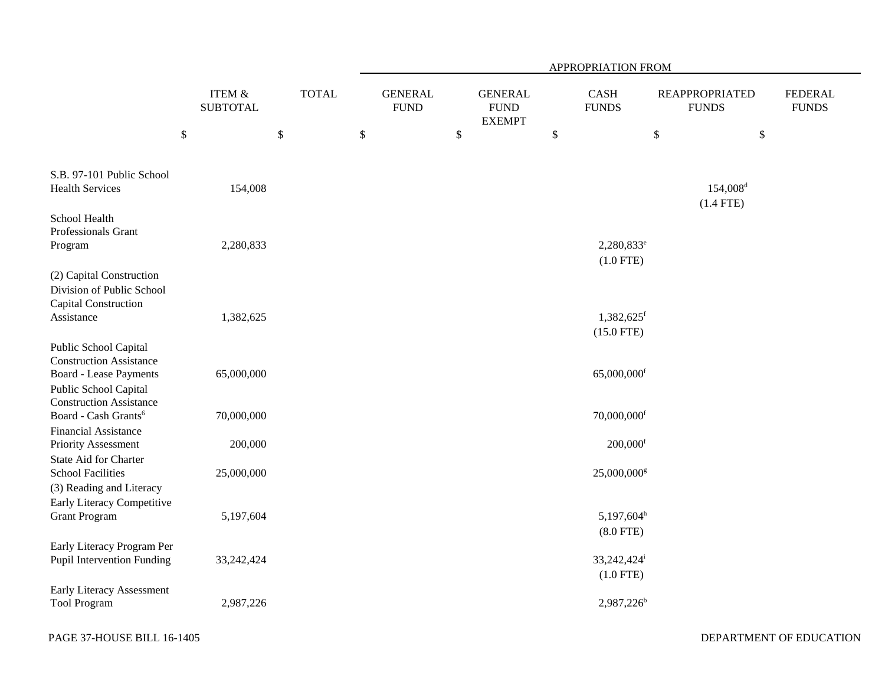|                                                                                                                   |                              |              | APPROPRIATION FROM            |                                                |                                        |                                       |                                |  |  |  |  |  |
|-------------------------------------------------------------------------------------------------------------------|------------------------------|--------------|-------------------------------|------------------------------------------------|----------------------------------------|---------------------------------------|--------------------------------|--|--|--|--|--|
|                                                                                                                   | ITEM $\&$<br><b>SUBTOTAL</b> | <b>TOTAL</b> | <b>GENERAL</b><br><b>FUND</b> | <b>GENERAL</b><br><b>FUND</b><br><b>EXEMPT</b> | <b>CASH</b><br><b>FUNDS</b>            | <b>REAPPROPRIATED</b><br><b>FUNDS</b> | <b>FEDERAL</b><br><b>FUNDS</b> |  |  |  |  |  |
|                                                                                                                   | $\mathbb{S}$                 | \$           | \$                            | $\$$                                           | $\$$                                   | $\$$                                  | $\boldsymbol{\mathsf{S}}$      |  |  |  |  |  |
| S.B. 97-101 Public School<br><b>Health Services</b>                                                               | 154,008                      |              |                               |                                                |                                        | $154,008$ <sup>d</sup><br>$(1.4$ FTE) |                                |  |  |  |  |  |
| School Health<br>Professionals Grant<br>Program                                                                   | 2,280,833                    |              |                               |                                                | 2,280,833 <sup>e</sup><br>$(1.0$ FTE)  |                                       |                                |  |  |  |  |  |
| (2) Capital Construction<br>Division of Public School<br>Capital Construction<br>Assistance                       | 1,382,625                    |              |                               |                                                | $1,382,625$ <sup>f</sup>               |                                       |                                |  |  |  |  |  |
|                                                                                                                   |                              |              |                               |                                                | $(15.0$ FTE)                           |                                       |                                |  |  |  |  |  |
| Public School Capital<br><b>Construction Assistance</b><br><b>Board - Lease Payments</b><br>Public School Capital | 65,000,000                   |              |                               |                                                | 65,000,000 <sup>f</sup>                |                                       |                                |  |  |  |  |  |
| <b>Construction Assistance</b><br>Board - Cash Grants <sup>6</sup>                                                | 70,000,000                   |              |                               |                                                | $70,000,000$ <sup>f</sup>              |                                       |                                |  |  |  |  |  |
| <b>Financial Assistance</b><br>Priority Assessment                                                                | 200,000                      |              |                               |                                                |                                        | $200,000$ <sup>f</sup>                |                                |  |  |  |  |  |
| <b>State Aid for Charter</b><br><b>School Facilities</b><br>(3) Reading and Literacy                              | 25,000,000                   |              |                               |                                                | 25,000,000 <sup>s</sup>                |                                       |                                |  |  |  |  |  |
| Early Literacy Competitive<br><b>Grant Program</b>                                                                | 5,197,604                    |              |                               |                                                | $5,197,604^h$<br>$(8.0$ FTE)           |                                       |                                |  |  |  |  |  |
| Early Literacy Program Per<br><b>Pupil Intervention Funding</b>                                                   | 33, 242, 424                 |              |                               |                                                | 33,242,424 <sup>i</sup><br>$(1.0$ FTE) |                                       |                                |  |  |  |  |  |
| Early Literacy Assessment<br><b>Tool Program</b>                                                                  | 2,987,226                    |              |                               |                                                | 2,987,226 <sup>b</sup>                 |                                       |                                |  |  |  |  |  |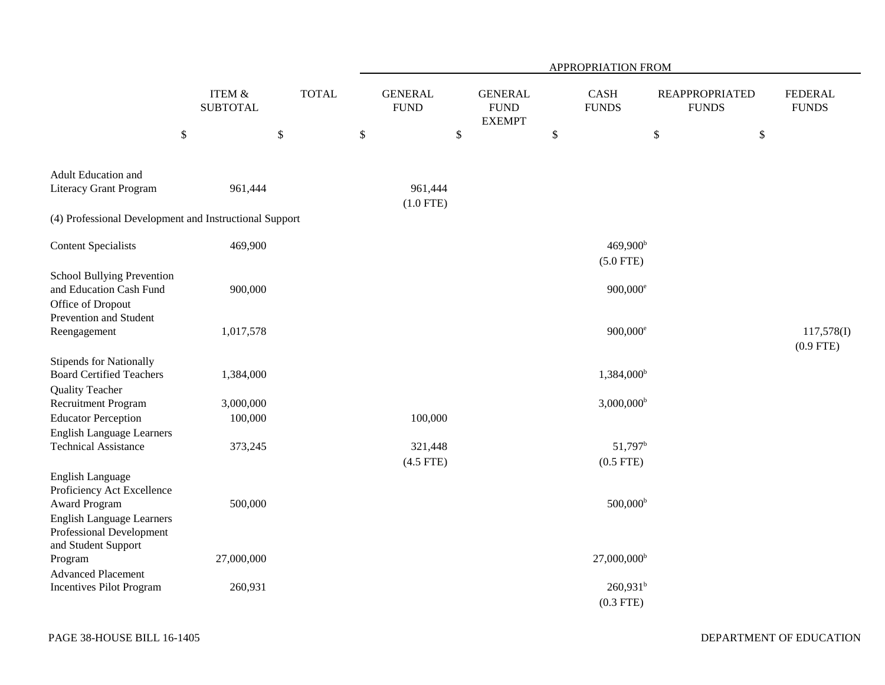|                                                                                                             |                                      |              |    | APPROPRIATION FROM            |        |                                                |      |                                     |                                       |                                |  |  |  |
|-------------------------------------------------------------------------------------------------------------|--------------------------------------|--------------|----|-------------------------------|--------|------------------------------------------------|------|-------------------------------------|---------------------------------------|--------------------------------|--|--|--|
|                                                                                                             | <b>ITEM &amp;</b><br><b>SUBTOTAL</b> | <b>TOTAL</b> |    | <b>GENERAL</b><br><b>FUND</b> |        | <b>GENERAL</b><br><b>FUND</b><br><b>EXEMPT</b> |      | <b>CASH</b><br><b>FUNDS</b>         | <b>REAPPROPRIATED</b><br><b>FUNDS</b> | <b>FEDERAL</b><br><b>FUNDS</b> |  |  |  |
|                                                                                                             | $\$$                                 | \$           | \$ |                               | $\$\,$ |                                                | $\$$ |                                     | \$                                    | \$                             |  |  |  |
| Adult Education and<br><b>Literacy Grant Program</b>                                                        | 961,444                              |              |    | 961,444<br>$(1.0$ FTE)        |        |                                                |      |                                     |                                       |                                |  |  |  |
| (4) Professional Development and Instructional Support                                                      |                                      |              |    |                               |        |                                                |      |                                     |                                       |                                |  |  |  |
| <b>Content Specialists</b>                                                                                  | 469,900                              |              |    |                               |        |                                                |      | 469,900 <sup>b</sup><br>$(5.0$ FTE) |                                       |                                |  |  |  |
| School Bullying Prevention<br>and Education Cash Fund<br>Office of Dropout                                  | 900,000                              |              |    |                               |        |                                                |      | $900,000^{\circ}$                   |                                       |                                |  |  |  |
| Prevention and Student<br>Reengagement                                                                      | 1,017,578                            |              |    |                               |        |                                                |      | $900,000$ <sup>e</sup>              |                                       | 117,578(I)<br>$(0.9$ FTE)      |  |  |  |
| <b>Stipends for Nationally</b><br><b>Board Certified Teachers</b><br><b>Quality Teacher</b>                 | 1,384,000                            |              |    |                               |        |                                                |      | 1,384,000 <sup>b</sup>              |                                       |                                |  |  |  |
| Recruitment Program                                                                                         | 3,000,000                            |              |    |                               |        |                                                |      | $3,000,000$ <sup>b</sup>            |                                       |                                |  |  |  |
| <b>Educator Perception</b><br><b>English Language Learners</b>                                              | 100,000                              |              |    | 100,000                       |        |                                                |      |                                     |                                       |                                |  |  |  |
| <b>Technical Assistance</b>                                                                                 | 373,245                              |              |    | 321,448<br>$(4.5$ FTE)        |        |                                                |      | $51,797^b$<br>$(0.5$ FTE)           |                                       |                                |  |  |  |
| <b>English Language</b><br>Proficiency Act Excellence                                                       |                                      |              |    |                               |        |                                                |      |                                     |                                       |                                |  |  |  |
| <b>Award Program</b><br><b>English Language Learners</b><br>Professional Development<br>and Student Support | 500,000                              |              |    |                               |        |                                                |      | $500,000^{\rm b}$                   |                                       |                                |  |  |  |
| Program                                                                                                     | 27,000,000                           |              |    |                               |        |                                                |      | $27,000,000$ <sup>b</sup>           |                                       |                                |  |  |  |
| <b>Advanced Placement</b><br>Incentives Pilot Program                                                       | 260,931                              |              |    |                               |        |                                                |      | $260,931^b$<br>$(0.3$ FTE)          |                                       |                                |  |  |  |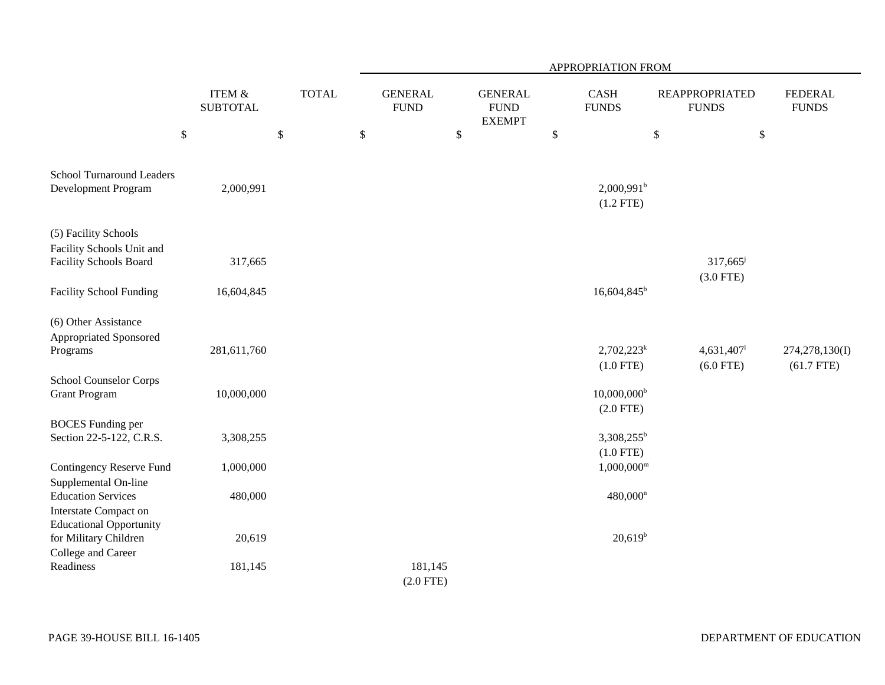|                                                                                      |                                      |              | APPROPRIATION FROM            |    |                                                |      |                                          |                                       |      |                                |  |  |
|--------------------------------------------------------------------------------------|--------------------------------------|--------------|-------------------------------|----|------------------------------------------------|------|------------------------------------------|---------------------------------------|------|--------------------------------|--|--|
|                                                                                      | <b>ITEM &amp;</b><br><b>SUBTOTAL</b> | <b>TOTAL</b> | <b>GENERAL</b><br><b>FUND</b> |    | <b>GENERAL</b><br><b>FUND</b><br><b>EXEMPT</b> |      | CASH<br><b>FUNDS</b>                     | <b>REAPPROPRIATED</b><br><b>FUNDS</b> |      | <b>FEDERAL</b><br><b>FUNDS</b> |  |  |
|                                                                                      | $\$$                                 | \$           | \$                            | \$ |                                                | $\$$ |                                          | $\mathbb{S}$                          | $\$$ |                                |  |  |
| <b>School Turnaround Leaders</b><br>Development Program                              | 2,000,991                            |              |                               |    |                                                |      | $2,000,991$ <sup>b</sup><br>$(1.2$ FTE)  |                                       |      |                                |  |  |
| (5) Facility Schools<br>Facility Schools Unit and<br><b>Facility Schools Board</b>   | 317,665                              |              |                               |    |                                                |      |                                          | 317,665                               |      |                                |  |  |
| <b>Facility School Funding</b>                                                       | 16,604,845                           |              |                               |    |                                                |      | $16,604,845^b$                           | $(3.0$ FTE)                           |      |                                |  |  |
| (6) Other Assistance<br>Appropriated Sponsored<br>Programs                           | 281,611,760                          |              |                               |    |                                                |      | $2,702,223^k$<br>$(1.0$ FTE)             | 4,631,407<br>$(6.0$ FTE)              |      | 274,278,130(I)<br>$(61.7$ FTE) |  |  |
| School Counselor Corps<br><b>Grant Program</b>                                       | 10,000,000                           |              |                               |    |                                                |      | $10,000,000$ <sup>b</sup><br>$(2.0$ FTE) |                                       |      |                                |  |  |
| <b>BOCES</b> Funding per<br>Section 22-5-122, C.R.S.                                 | 3,308,255                            |              |                               |    |                                                |      | $3,308,255^b$<br>$(1.0$ FTE)             |                                       |      |                                |  |  |
| <b>Contingency Reserve Fund</b><br>Supplemental On-line                              | 1,000,000                            |              |                               |    |                                                |      | $1,000,000^{\rm m}$                      |                                       |      |                                |  |  |
| <b>Education Services</b><br>Interstate Compact on<br><b>Educational Opportunity</b> | 480,000                              |              |                               |    |                                                |      | $480,000^n$                              |                                       |      |                                |  |  |
| for Military Children<br>College and Career                                          | 20,619                               |              |                               |    |                                                |      | $20,619^b$                               |                                       |      |                                |  |  |
| Readiness                                                                            | 181,145                              |              | 181,145<br>$(2.0$ FTE)        |    |                                                |      |                                          |                                       |      |                                |  |  |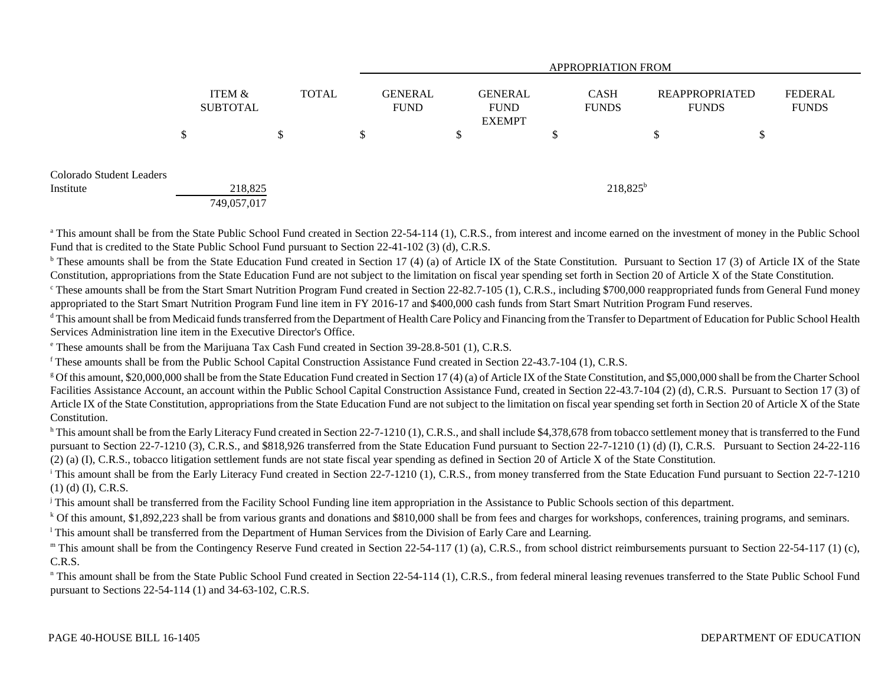|                                       |    |                                      |    |  |    |  |              |                               |   | <b>APPROPRIATION FROM</b>               |    |    |                             |                                       |                                |  |
|---------------------------------------|----|--------------------------------------|----|--|----|--|--------------|-------------------------------|---|-----------------------------------------|----|----|-----------------------------|---------------------------------------|--------------------------------|--|
|                                       |    | <b>ITEM &amp;</b><br><b>SUBTOTAL</b> |    |  |    |  | <b>TOTAL</b> | <b>GENERAL</b><br><b>FUND</b> |   | GENERAL<br><b>FUND</b><br><b>EXEMPT</b> |    |    | <b>CASH</b><br><b>FUNDS</b> | <b>REAPPROPRIATED</b><br><b>FUNDS</b> | <b>FEDERAL</b><br><b>FUNDS</b> |  |
|                                       | \$ |                                      | \$ |  | \$ |  | \$           |                               | ◡ |                                         | \$ | \$ |                             |                                       |                                |  |
| Colorado Student Leaders<br>Institute |    | 218,825                              |    |  |    |  |              |                               |   | $218,825^b$                             |    |    |                             |                                       |                                |  |
|                                       |    | 749,057,017                          |    |  |    |  |              |                               |   |                                         |    |    |                             |                                       |                                |  |

<sup>a</sup> This amount shall be from the State Public School Fund created in Section 22-54-114 (1), C.R.S., from interest and income earned on the investment of money in the Public School Fund that is credited to the State Public School Fund pursuant to Section 22-41-102 (3) (d), C.R.S.

<sup>b</sup> These amounts shall be from the State Education Fund created in Section 17 (4) (a) of Article IX of the State Constitution. Pursuant to Section 17 (3) of Article IX of the State Constitution, appropriations from the State Education Fund are not subject to the limitation on fiscal year spending set forth in Section 20 of Article X of the State Constitution.

<sup>c</sup> These amounts shall be from the Start Smart Nutrition Program Fund created in Section 22-82.7-105 (1), C.R.S., including \$700,000 reappropriated funds from General Fund money appropriated to the Start Smart Nutrition Program Fund line item in FY 2016-17 and \$400,000 cash funds from Start Smart Nutrition Program Fund reserves.

<sup>d</sup> This amount shall be from Medicaid funds transferred from the Department of Health Care Policy and Financing from the Transfer to Department of Education for Public School Health Services Administration line item in the Executive Director's Office.

e These amounts shall be from the Marijuana Tax Cash Fund created in Section 39-28.8-501 (1), C.R.S.

f These amounts shall be from the Public School Capital Construction Assistance Fund created in Section 22-43.7-104 (1), C.R.S.

<sup>g</sup> Of this amount, \$20,000,000 shall be from the State Education Fund created in Section 17 (4) (a) of Article IX of the State Constitution, and \$5,000,000 shall be from the Charter School Facilities Assistance Account, an account within the Public School Capital Construction Assistance Fund, created in Section 22-43.7-104 (2) (d), C.R.S. Pursuant to Section 17 (3) of Article IX of the State Constitution, appropriations from the State Education Fund are not subject to the limitation on fiscal year spending set forth in Section 20 of Article X of the State Constitution.

<sup>h</sup> This amount shall be from the Early Literacy Fund created in Section 22-7-1210 (1), C.R.S., and shall include \$4,378,678 from tobacco settlement money that is transferred to the Fund pursuant to Section 22-7-1210 (3), C.R.S., and \$818,926 transferred from the State Education Fund pursuant to Section 22-7-1210 (1) (d) (I), C.R.S. Pursuant to Section 24-22-116 (2) (a) (I), C.R.S., tobacco litigation settlement funds are not state fiscal year spending as defined in Section 20 of Article X of the State Constitution.

<sup>i</sup> This amount shall be from the Early Literacy Fund created in Section 22-7-1210 (1), C.R.S., from money transferred from the State Education Fund pursuant to Section 22-7-1210 (1) (d) (I), C.R.S.

<sup>j</sup> This amount shall be transferred from the Facility School Funding line item appropriation in the Assistance to Public Schools section of this department.

<sup>k</sup> Of this amount, \$1,892,223 shall be from various grants and donations and \$810,000 shall be from fees and charges for workshops, conferences, training programs, and seminars.

<sup>1</sup> This amount shall be transferred from the Department of Human Services from the Division of Early Care and Learning.

" This amount shall be from the Contingency Reserve Fund created in Section 22-54-117 (1) (a), C.R.S., from school district reimbursements pursuant to Section 22-54-117 (1) (c), C.R.S.

n This amount shall be from the State Public School Fund created in Section 22-54-114 (1), C.R.S., from federal mineral leasing revenues transferred to the State Public School Fund pursuant to Sections 22-54-114 (1) and 34-63-102, C.R.S.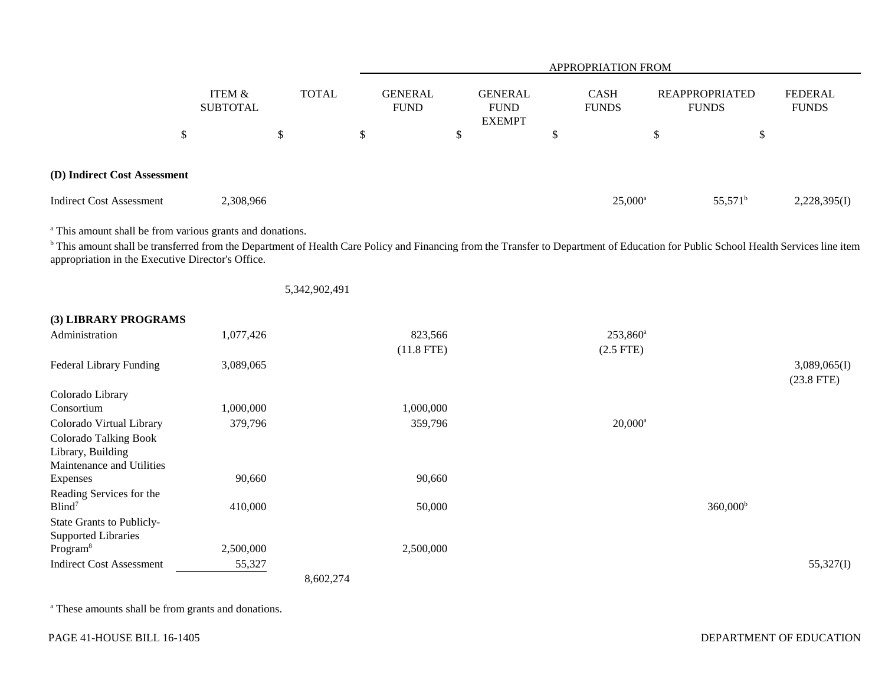|                              |                    |              | <b>APPROPRIATION FROM</b>     |                                         |                             |                                |                         |  |  |  |
|------------------------------|--------------------|--------------|-------------------------------|-----------------------------------------|-----------------------------|--------------------------------|-------------------------|--|--|--|
|                              | ITEM &<br>SUBTOTAL | <b>TOTAL</b> | <b>GENERAL</b><br><b>FUND</b> | GENERAL<br><b>FUND</b><br><b>EXEMPT</b> | <b>CASH</b><br><b>FUNDS</b> | REAPPROPRIATED<br><b>FUNDS</b> | FEDERAL<br><b>FUNDS</b> |  |  |  |
| \$                           |                    | \$           | \$                            | $\boldsymbol{\mathsf{S}}$               | ◡                           | \$<br>\$                       |                         |  |  |  |
| (D) Indirect Cost Assessment |                    |              |                               |                                         |                             |                                |                         |  |  |  |
| Indirect Cost Assessment     | 2,308,966          |              |                               |                                         | $25,000^{\rm a}$            | $55,571^{\rm b}$               | 2,228,395(I)            |  |  |  |

<sup>a</sup> This amount shall be from various grants and donations.

<sup>b</sup> This amount shall be transferred from the Department of Health Care Policy and Financing from the Transfer to Department of Education for Public School Health Services line item appropriation in the Executive Director's Office.

|                                 |           | 5,342,902,491 |                   |                      |              |
|---------------------------------|-----------|---------------|-------------------|----------------------|--------------|
| (3) LIBRARY PROGRAMS            |           |               |                   |                      |              |
| Administration                  | 1,077,426 | 823,566       | $253,860^{\circ}$ |                      |              |
|                                 |           | $(11.8$ FTE)  | $(2.5$ FTE $)$    |                      |              |
| Federal Library Funding         | 3,089,065 |               |                   |                      | 3,089,065(I) |
|                                 |           |               |                   |                      | $(23.8$ FTE) |
| Colorado Library                |           |               |                   |                      |              |
| Consortium                      | 1,000,000 | 1,000,000     |                   |                      |              |
| Colorado Virtual Library        | 379,796   | 359,796       | $20,000^a$        |                      |              |
| <b>Colorado Talking Book</b>    |           |               |                   |                      |              |
| Library, Building               |           |               |                   |                      |              |
| Maintenance and Utilities       |           |               |                   |                      |              |
| <b>Expenses</b>                 | 90,660    | 90,660        |                   |                      |              |
| Reading Services for the        |           |               |                   |                      |              |
| Blind <sup>7</sup>              | 410,000   | 50,000        |                   | 360,000 <sup>b</sup> |              |
| State Grants to Publicly-       |           |               |                   |                      |              |
| <b>Supported Libraries</b>      |           |               |                   |                      |              |
| Program <sup>8</sup>            | 2,500,000 | 2,500,000     |                   |                      |              |
| <b>Indirect Cost Assessment</b> | 55,327    |               |                   |                      | 55,327(I)    |
|                                 |           | 8,602,274     |                   |                      |              |

a These amounts shall be from grants and donations.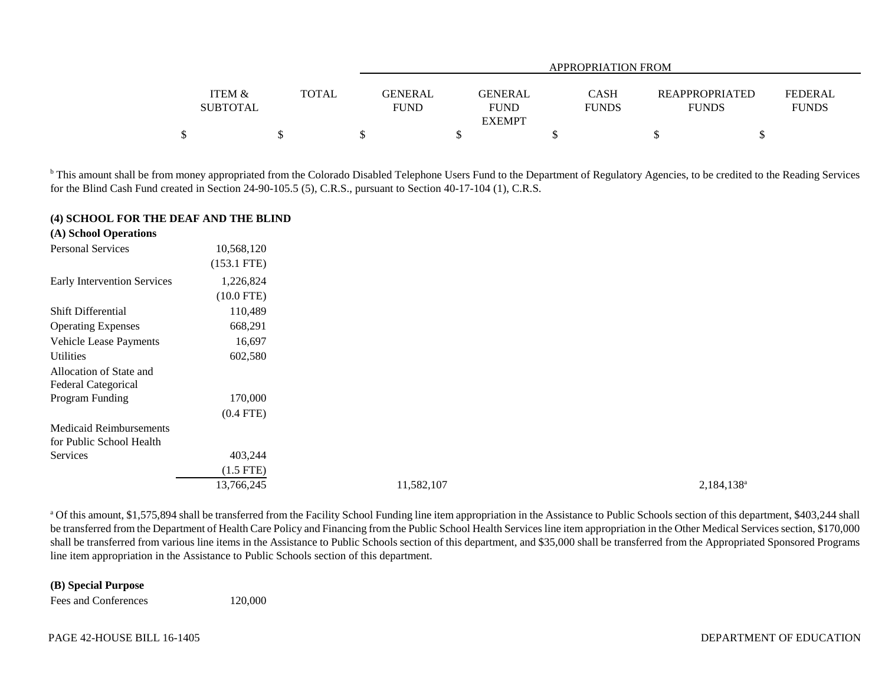|                   |       |             | APPROPRIATION FROM |              |  |                                         |  |  |  |  |  |  |
|-------------------|-------|-------------|--------------------|--------------|--|-----------------------------------------|--|--|--|--|--|--|
|                   |       |             |                    |              |  |                                         |  |  |  |  |  |  |
| <b>ITEM &amp;</b> | TOTAL | GENERAL     | <b>GENERAL</b>     | <b>CASH</b>  |  | <b>REAPPROPRIATED</b><br><b>FEDERAL</b> |  |  |  |  |  |  |
| <b>SUBTOTAL</b>   |       | <b>FUND</b> | <b>FUND</b>        | <b>FUNDS</b> |  | <b>FUNDS</b><br><b>FUNDS</b>            |  |  |  |  |  |  |
|                   |       |             | <b>EXEMPT</b>      |              |  |                                         |  |  |  |  |  |  |
|                   |       |             |                    |              |  |                                         |  |  |  |  |  |  |

<sup>b</sup> This amount shall be from money appropriated from the Colorado Disabled Telephone Users Fund to the Department of Regulatory Agencies, to be credited to the Reading Services for the Blind Cash Fund created in Section 24-90-105.5 (5), C.R.S., pursuant to Section 40-17-104 (1), C.R.S.

## **(4) SCHOOL FOR THE DEAF AND THE BLIND**

| (A) School Operations       |               |            |               |
|-----------------------------|---------------|------------|---------------|
| Personal Services           | 10,568,120    |            |               |
|                             | $(153.1$ FTE) |            |               |
| Early Intervention Services | 1,226,824     |            |               |
|                             | $(10.0$ FTE)  |            |               |
| Shift Differential          | 110,489       |            |               |
| <b>Operating Expenses</b>   | 668,291       |            |               |
| Vehicle Lease Payments      | 16,697        |            |               |
| Utilities                   | 602,580       |            |               |
| Allocation of State and     |               |            |               |
| Federal Categorical         |               |            |               |
| Program Funding             | 170,000       |            |               |
|                             | $(0.4$ FTE)   |            |               |
| Medicaid Reimbursements     |               |            |               |
| for Public School Health    |               |            |               |
| Services                    | 403,244       |            |               |
|                             | $(1.5$ FTE)   |            |               |
|                             | 13,766,245    | 11,582,107 | $2,184,138^a$ |
|                             |               |            |               |

<sup>a</sup> Of this amount, \$1,575,894 shall be transferred from the Facility School Funding line item appropriation in the Assistance to Public Schools section of this department, \$403,244 shall be transferred from the Department of Health Care Policy and Financing from the Public School Health Services line item appropriation in the Other Medical Services section, \$170,000 shall be transferred from various line items in the Assistance to Public Schools section of this department, and \$35,000 shall be transferred from the Appropriated Sponsored Programs line item appropriation in the Assistance to Public Schools section of this department.

## **(B) Special Purpose**

Fees and Conferences 120,000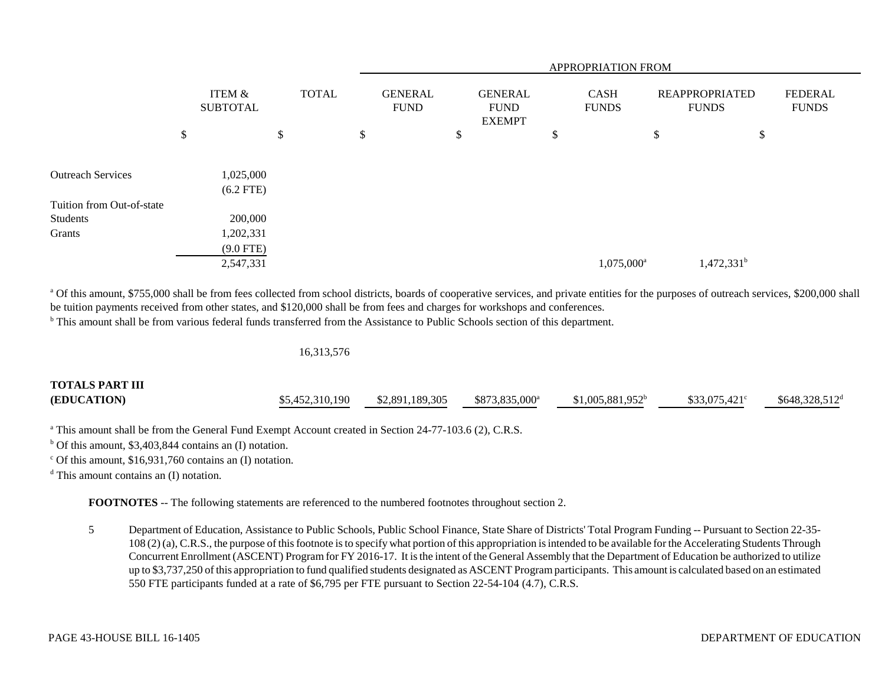|                                                 |                                                  |              |                               |                                                |  | APPROPRIATION FROM          |                                       |                                |
|-------------------------------------------------|--------------------------------------------------|--------------|-------------------------------|------------------------------------------------|--|-----------------------------|---------------------------------------|--------------------------------|
|                                                 | ITEM &<br><b>SUBTOTAL</b>                        | <b>TOTAL</b> | <b>GENERAL</b><br><b>FUND</b> | <b>GENERAL</b><br><b>FUND</b><br><b>EXEMPT</b> |  | <b>CASH</b><br><b>FUNDS</b> | <b>REAPPROPRIATED</b><br><b>FUNDS</b> | <b>FEDERAL</b><br><b>FUNDS</b> |
|                                                 | \$                                               | \$           | \$                            | \$                                             |  | \$                          | \$<br>\$                              |                                |
| <b>Outreach Services</b>                        | 1,025,000<br>$(6.2$ FTE)                         |              |                               |                                                |  |                             |                                       |                                |
| Tuition from Out-of-state<br>Students<br>Grants | 200,000<br>1,202,331<br>$(9.0$ FTE)<br>2,547,331 |              |                               |                                                |  | 1,075,000 <sup>a</sup>      | $1,472,331^b$                         |                                |

<sup>a</sup> Of this amount, \$755,000 shall be from fees collected from school districts, boards of cooperative services, and private entities for the purposes of outreach services, \$200,000 shall be tuition payments received from other states, and \$120,000 shall be from fees and charges for workshops and conferences.

<sup>b</sup> This amount shall be from various federal funds transferred from the Assistance to Public Schools section of this department.

16,313,576

| <b>TOTALS PART III</b> |                 |                 |                            |                    |                       |                  |
|------------------------|-----------------|-----------------|----------------------------|--------------------|-----------------------|------------------|
| (EDUCATION)            | \$5,452,310,190 | \$2,891,189,305 | \$873,835,000 <sup>a</sup> | $$1,005,881,952^b$ | $$33.075.421^{\circ}$ | $$648,328,512^d$ |

<sup>a</sup> This amount shall be from the General Fund Exempt Account created in Section 24-77-103.6 (2), C.R.S.

 $b$  Of this amount, \$3,403,844 contains an (I) notation.

 $\degree$  Of this amount, \$16,931,760 contains an (I) notation.

d This amount contains an (I) notation.

**FOOTNOTES** -- The following statements are referenced to the numbered footnotes throughout section 2.

5 Department of Education, Assistance to Public Schools, Public School Finance, State Share of Districts' Total Program Funding -- Pursuant to Section 22-35- 108 (2) (a), C.R.S., the purpose of this footnote is to specify what portion of this appropriation is intended to be available for the Accelerating Students Through Concurrent Enrollment (ASCENT) Program for FY 2016-17. It is the intent of the General Assembly that the Department of Education be authorized to utilize up to \$3,737,250 of this appropriation to fund qualified students designated as ASCENT Program participants. This amount is calculated based on an estimated 550 FTE participants funded at a rate of \$6,795 per FTE pursuant to Section 22-54-104 (4.7), C.R.S.